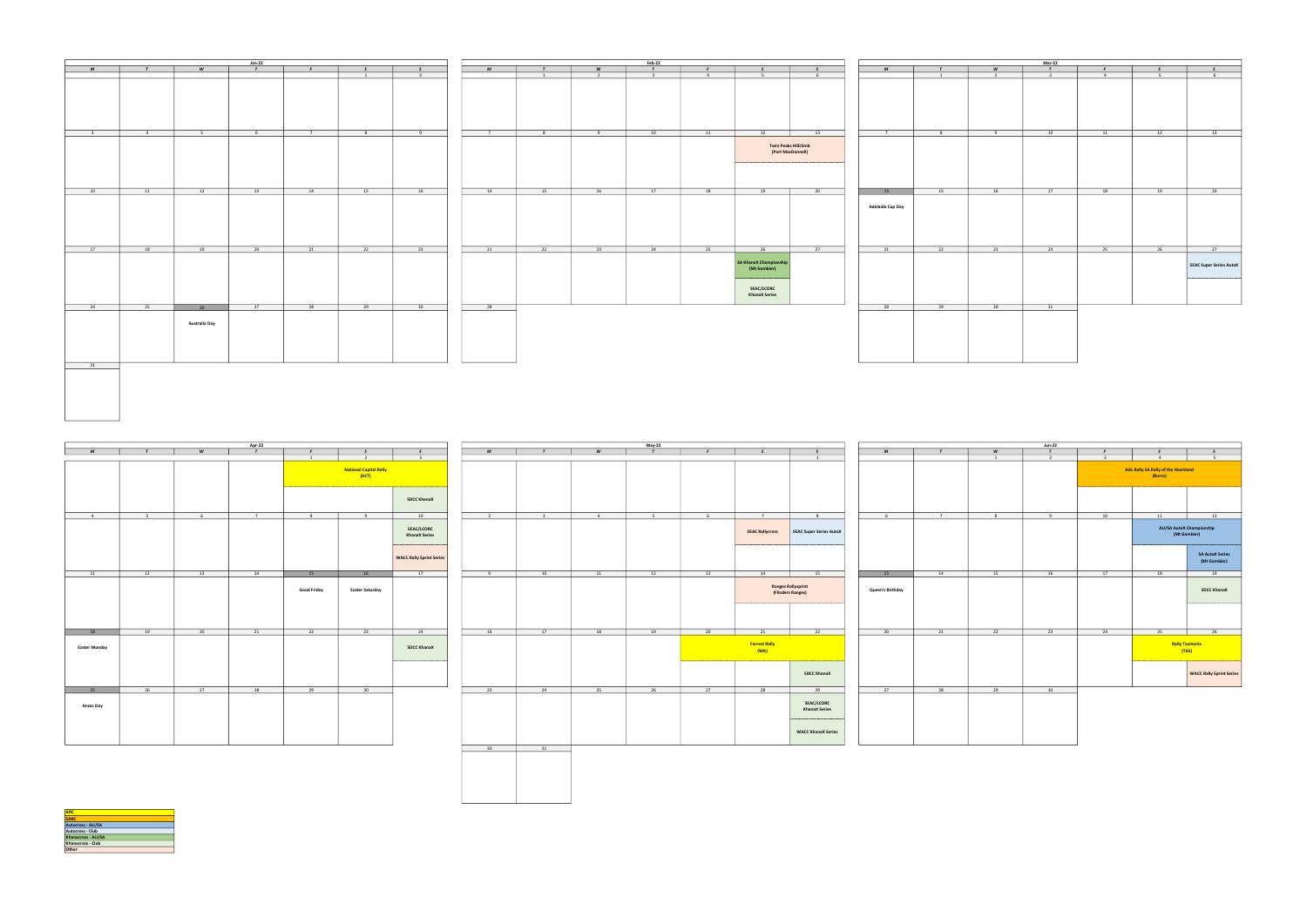|                            |                             |                      | <b>Jan-22</b>   |             |                |                |                |                |                 | Feb-22                   |                 |                                           | Mar-22                                           |                         |                 |                |                           |    |      |                         |
|----------------------------|-----------------------------|----------------------|-----------------|-------------|----------------|----------------|----------------|----------------|-----------------|--------------------------|-----------------|-------------------------------------------|--------------------------------------------------|-------------------------|-----------------|----------------|---------------------------|----|------|-------------------------|
| M                          | $\mathbf{r}$                | <b>W</b>             | T               | $F$ and $F$ | S              | S              | M              | $\mathbf{r}$   | W               | $\mathcal{T}$            | F               | S                                         | S                                                | M                       | T               | W              | T                         | F  | S    | $\sqrt{S}$              |
|                            |                             |                      |                 |             | $\mathbf{1}$   | $\overline{2}$ |                | $\overline{1}$ | $\overline{2}$  | $\overline{\phantom{a}}$ | 4 <sup>1</sup>  | $5-5$                                     | $6\overline{6}$                                  |                         | $\mathbf{1}$    | $\overline{2}$ | $\overline{\phantom{a}3}$ | 4  | $-5$ | $6\overline{6}$         |
|                            |                             |                      |                 |             |                |                |                |                |                 |                          |                 |                                           |                                                  |                         |                 |                |                           |    |      |                         |
| $\overline{\phantom{a}}$ 3 | $4\overline{4}$             | $5 - 5$              | 6 <sup>1</sup>  | $7 - 7$     | 8 <sup>1</sup> | 9              | $\overline{7}$ | 8 <sup>1</sup> | 9               | 10                       | 11              | 12                                        | 13                                               | $7 -$                   | 8 <sup>1</sup>  | 9              | 10                        | 11 | 12   | 13                      |
|                            |                             |                      |                 |             |                |                |                |                |                 |                          |                 |                                           | <b>Twin Peaks Hillclimb</b><br>(Port MacDonnell) |                         |                 |                |                           |    |      |                         |
| 10                         | 11                          | 12                   | 13              | 14          | 15             | 16             | 14             | 15             | 16              | 17                       | 18              | 19                                        | 20                                               | 14                      | 15              | 16             | 17                        | 18 | 19   | 20                      |
|                            |                             |                      |                 |             |                |                |                |                |                 |                          |                 |                                           |                                                  | <b>Adelaide Cup Day</b> |                 |                |                           |    |      |                         |
| $\overline{17}$            | $\overline{\phantom{1}}$ 18 | 19                   | $\overline{20}$ | 21          | 22             | 23             | 21             | 22             | $\overline{23}$ | $\overline{24}$          | $\overline{25}$ | 26                                        | 27                                               | 21                      | $\overline{22}$ | 23             | 24                        | 25 | 26   | $\sqrt{27}$             |
|                            |                             |                      |                 |             |                |                |                |                |                 |                          |                 | SA KhanaX Championship<br>(Mt Gambier)    |                                                  |                         |                 |                |                           |    |      | SEAC Super Series AutoX |
|                            |                             |                      |                 |             |                |                |                |                |                 |                          |                 | <b>SEAC/LCORC</b><br><b>KhanaX Series</b> |                                                  |                         |                 |                |                           |    |      |                         |
| 24                         | 25                          | 26                   | $\overline{27}$ | 28          | 29             | 30             | 28             |                |                 |                          |                 |                                           |                                                  | 28                      | 29              | 30             | 31                        |    |      |                         |
| 31                         |                             | <b>Australia Day</b> |                 |             |                |                |                |                |                 |                          |                 |                                           |                                                  |                         |                 |                |                           |    |      |                         |

|             |        |                | Apr-22         |                                |                                        |                                           |                 |                         |    | May-22 |                 |                              | $Jun-22$                                       |                  |              |                     |                                 |                                |                                                |                                                 |
|-------------|--------|----------------|----------------|--------------------------------|----------------------------------------|-------------------------------------------|-----------------|-------------------------|----|--------|-----------------|------------------------------|------------------------------------------------|------------------|--------------|---------------------|---------------------------------|--------------------------------|------------------------------------------------|-------------------------------------------------|
| M           | $\tau$ | W              | $\overline{t}$ | $\mathbf{F}$<br>$\overline{1}$ | $\overline{2}$                         | $\overline{3}$                            | M               | $\tau$                  | W  | $\tau$ | F               | $\sim$                       | S<br>$\overline{1}$                            | M                | $\mathbf{r}$ | W<br>$\overline{1}$ | $\mathcal{T}$<br>$\overline{2}$ | $\mathbf{F}$<br>$\overline{3}$ | 4 <sup>1</sup>                                 | $-5$                                            |
|             |        |                |                |                                | <b>National Capital Rally</b><br>(ACT) |                                           |                 |                         |    |        |                 |                              |                                                |                  |              |                     |                                 |                                | AGL Rally SA Rally of the Heartland<br>(Burra) |                                                 |
|             |        |                |                |                                |                                        | <b>SDCC KhanaX</b>                        |                 |                         |    |        |                 |                              |                                                |                  |              |                     |                                 |                                |                                                |                                                 |
| $-4$        | $5 -$  | 6 <sup>6</sup> | $\overline{7}$ | 8                              | 9                                      | 10                                        | $\overline{2}$  | $\overline{\mathbf{3}}$ | 4  | $5 -$  | 6 <sup>6</sup>  | 7 <sup>7</sup>               | 8                                              | 6 <sup>6</sup>   | 7            | 8 <sup>1</sup>      | 9                               | 10                             | 11                                             | 12                                              |
|             |        |                |                |                                |                                        | <b>SEAC/LCORC</b><br><b>KhanaX Series</b> |                 |                         |    |        |                 | <b>SEAC Rallycross</b>       | SEAC Super Series AutoX                        |                  |              |                     |                                 |                                |                                                | <b>AU/SA AutoX Championship</b><br>(Mt Gambier) |
|             |        |                |                |                                |                                        | <b>WACC Rally Sprint Series</b>           |                 |                         |    |        |                 |                              |                                                |                  |              |                     |                                 |                                |                                                | <b>SA AutoX Serie</b><br>(Mt Gambier)           |
| 11          | 12     | 13             | 14             | 15                             | 16                                     | 17                                        | 9               | 10                      | 11 | 12     | 13              | 14                           | 15                                             | 13               | 14           | 15                  | 16                              | 17                             | 18                                             | 19                                              |
|             |        |                |                | <b>Good Friday</b>             | <b>Easter Saturday</b>                 |                                           |                 |                         |    |        |                 |                              | <b>Ranges Rallysprint</b><br>(Flinders Ranges) | Queen's Birthday |              |                     |                                 |                                |                                                | <b>SDCC Khanax</b>                              |
|             |        |                |                |                                |                                        |                                           |                 |                         |    |        |                 |                              |                                                |                  |              |                     |                                 |                                |                                                |                                                 |
| 18          | 19     | 20             | 21             | $\overline{22}$                | $\overline{23}$                        | 24                                        | 16              | 17                      | 18 | 19     | $\overline{20}$ |                              | 22                                             | $\overline{20}$  | 21           | $\overline{22}$     | 23                              | 24                             | $\overline{25}$                                | $\overline{26}$                                 |
| ster Monday |        |                |                |                                |                                        | <b>SDCC KhanaX</b>                        |                 |                         |    |        |                 | <b>Forrest Rally</b><br>(WA) |                                                |                  |              |                     |                                 |                                |                                                | <b>Rally Tasmania</b><br>(TAS)                  |
|             |        |                |                |                                |                                        |                                           |                 |                         |    |        |                 |                              | <b>SDCC KhanaX</b>                             |                  |              |                     |                                 |                                |                                                | <b>WACC Rally Sprint</b>                        |
| 25          | 26     | 27             | 28             | 29                             | 30                                     |                                           | 23              | 24                      | 25 | 26     | 27              | 28                           | 29                                             | 27               | 28           | 29                  | 30                              |                                |                                                |                                                 |
| Anzac Day   |        |                |                |                                |                                        |                                           |                 |                         |    |        |                 |                              | <b>SEAC/LCORC</b><br><b>KhanaX Series</b>      |                  |              |                     |                                 |                                |                                                |                                                 |
|             |        |                |                |                                |                                        |                                           |                 |                         |    |        |                 |                              | <b>WACC KhanaX Series</b>                      |                  |              |                     |                                 |                                |                                                |                                                 |
|             |        |                |                |                                |                                        |                                           | 30 <sub>2</sub> | 31                      |    |        |                 |                              |                                                |                  |              |                     |                                 |                                |                                                |                                                 |
|             |        |                |                |                                |                                        |                                           |                 |                         |    |        |                 |                              |                                                |                  |              |                     |                                 |                                |                                                |                                                 |

| Apr-22<br>$\overline{r}$ |                |           |                |                    |                                        |                                    |  |  |  |  |  |  |  |
|--------------------------|----------------|-----------|----------------|--------------------|----------------------------------------|------------------------------------|--|--|--|--|--|--|--|
| $\overline{\mathit{M}}$  | $\overline{r}$ | $\pmb{W}$ |                | $\pmb{\mathit{F}}$ | $\pmb{\mathsf{s}}$                     | $\pmb{\mathcal{S}}$                |  |  |  |  |  |  |  |
|                          |                |           |                | $\,$ 1 $\,$        | $\overline{2}$                         | $\overline{\mathbf{3}}$            |  |  |  |  |  |  |  |
|                          |                |           |                |                    | <b>National Capital Rally</b><br>(ACT) |                                    |  |  |  |  |  |  |  |
|                          |                |           |                |                    | <b>SDCC KhanaX</b>                     |                                    |  |  |  |  |  |  |  |
| $\sqrt{4}$               | 5              | 6         | $\overline{7}$ | $\bf{8}$           | $_{9}$                                 | $10\,$                             |  |  |  |  |  |  |  |
|                          |                |           |                |                    |                                        | SEAC/LCORC<br><b>KhanaX Series</b> |  |  |  |  |  |  |  |
|                          |                |           |                |                    |                                        | <b>WACC Rally Sprint Series</b>    |  |  |  |  |  |  |  |
| $11\,$                   | $12\,$         | $13\,$    | $14\,$         | 15                 | $16$                                   | 17                                 |  |  |  |  |  |  |  |
|                          |                |           |                | <b>Good Friday</b> | <b>Easter Saturday</b>                 |                                    |  |  |  |  |  |  |  |
| 18                       | 19             | 20        | 21             | 22                 | 23                                     | 24                                 |  |  |  |  |  |  |  |
| <b>Easter Monday</b>     |                |           |                |                    |                                        | <b>SDCC KhanaX</b>                 |  |  |  |  |  |  |  |
| 25                       | 26             | 27        | 28             | 29                 | 30                                     |                                    |  |  |  |  |  |  |  |
| Anzac Day                |                |           |                |                    |                                        |                                    |  |  |  |  |  |  |  |

| $\boldsymbol{M}$        | $\mathbf{r}$    |  |
|-------------------------|-----------------|--|
|                         |                 |  |
|                         |                 |  |
|                         |                 |  |
| 6                       | $\overline{7}$  |  |
|                         |                 |  |
| $13\,$                  | $14\,$          |  |
| <b>Queen's Birthday</b> |                 |  |
| $\overline{20}$         | $\overline{21}$ |  |
|                         |                 |  |
| 27                      | 28              |  |
|                         |                 |  |